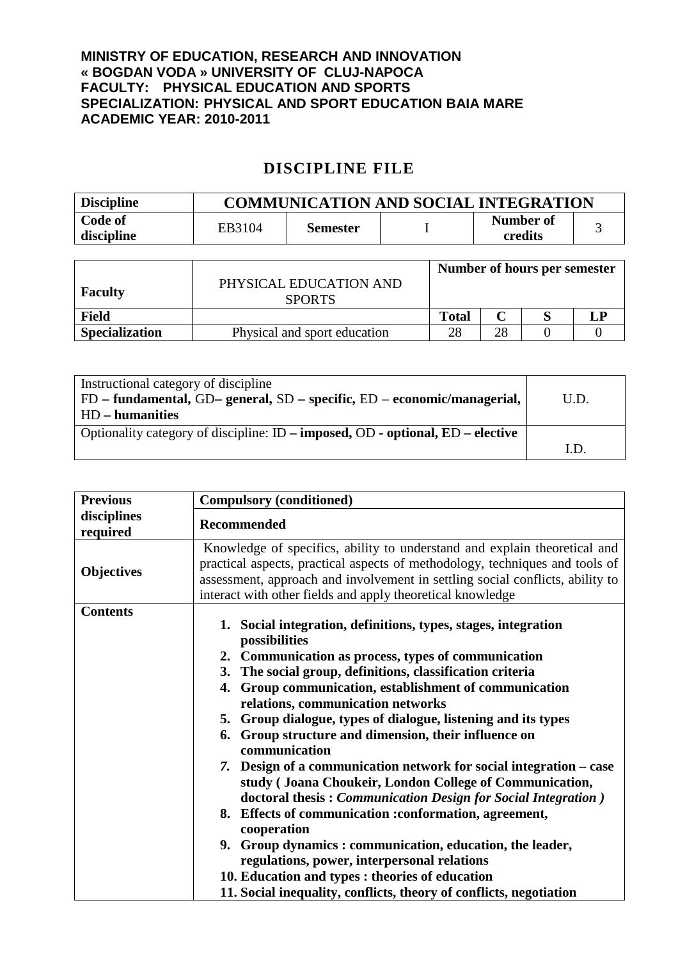## **MINISTRY OF EDUCATION, RESEARCH AND INNOVATION « BOGDAN VODA » UNIVERSITY OF CLUJ-NAPOCA FACULTY: PHYSICAL EDUCATION AND SPORTS SPECIALIZATION: PHYSICAL AND SPORT EDUCATION BAIA MARE ACADEMIC YEAR: 2010-2011**

## **DISCIPLINE FILE**

| <b>Discipline</b> | <b>COMMUNICATION AND SOCIAL INTEGRATION</b> |                 |  |           |  |
|-------------------|---------------------------------------------|-----------------|--|-----------|--|
| Code of           | EB3104                                      | <b>Semester</b> |  | Number of |  |
| discipline        |                                             |                 |  | credits   |  |

|                       |                                         | Number of hours per semester |    |  |   |
|-----------------------|-----------------------------------------|------------------------------|----|--|---|
| <b>Faculty</b>        | PHYSICAL EDUCATION AND<br><b>SPORTS</b> |                              |    |  |   |
| <b>Field</b>          |                                         | <b>Total</b>                 |    |  | Ð |
| <b>Specialization</b> | Physical and sport education            | 28                           | 28 |  |   |

| Instructional category of discipline<br>$FD$ – fundamental, GD– general, SD – specific, ED – economic/managerial, | U.D. |
|-------------------------------------------------------------------------------------------------------------------|------|
| HD – humanities                                                                                                   |      |
| Optionality category of discipline: $ID$ – imposed, $OD$ - optional, $ED$ – elective                              |      |
|                                                                                                                   | I.D  |

| <b>Previous</b>         | <b>Compulsory (conditioned)</b>                                                                                                                                                                                                                                                                                                                                                                                                                                                                                                                                                                                                                                                                                                                                                                                                                                                                                                                            |  |  |  |
|-------------------------|------------------------------------------------------------------------------------------------------------------------------------------------------------------------------------------------------------------------------------------------------------------------------------------------------------------------------------------------------------------------------------------------------------------------------------------------------------------------------------------------------------------------------------------------------------------------------------------------------------------------------------------------------------------------------------------------------------------------------------------------------------------------------------------------------------------------------------------------------------------------------------------------------------------------------------------------------------|--|--|--|
| disciplines<br>required | <b>Recommended</b>                                                                                                                                                                                                                                                                                                                                                                                                                                                                                                                                                                                                                                                                                                                                                                                                                                                                                                                                         |  |  |  |
| <b>Objectives</b>       | Knowledge of specifics, ability to understand and explain theoretical and<br>practical aspects, practical aspects of methodology, techniques and tools of<br>assessment, approach and involvement in settling social conflicts, ability to<br>interact with other fields and apply theoretical knowledge                                                                                                                                                                                                                                                                                                                                                                                                                                                                                                                                                                                                                                                   |  |  |  |
| <b>Contents</b>         | 1. Social integration, definitions, types, stages, integration<br>possibilities<br>2. Communication as process, types of communication<br>3. The social group, definitions, classification criteria<br>4. Group communication, establishment of communication<br>relations, communication networks<br>5. Group dialogue, types of dialogue, listening and its types<br>6. Group structure and dimension, their influence on<br>communication<br>7. Design of a communication network for social integration – case<br>study (Joana Choukeir, London College of Communication,<br>doctoral thesis: Communication Design for Social Integration)<br>8. Effects of communication :conformation, agreement,<br>cooperation<br>9. Group dynamics: communication, education, the leader,<br>regulations, power, interpersonal relations<br>10. Education and types : theories of education<br>11. Social inequality, conflicts, theory of conflicts, negotiation |  |  |  |